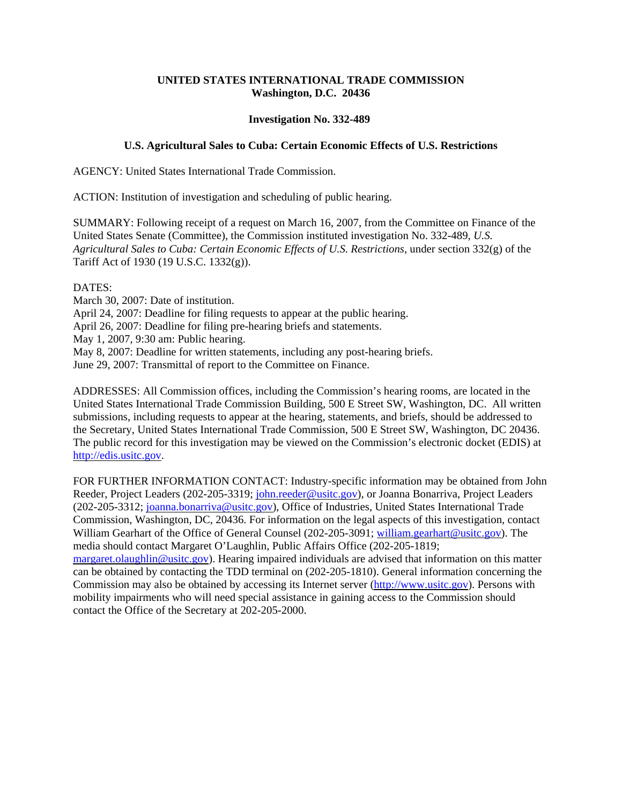## **UNITED STATES INTERNATIONAL TRADE COMMISSION Washington, D.C. 20436**

## **Investigation No. 332-489**

## **U.S. Agricultural Sales to Cuba: Certain Economic Effects of U.S. Restrictions**

AGENCY: United States International Trade Commission.

ACTION: Institution of investigation and scheduling of public hearing.

SUMMARY: Following receipt of a request on March 16, 2007, from the Committee on Finance of the United States Senate (Committee), the Commission instituted investigation No. 332-489, *U.S. Agricultural Sales to Cuba: Certain Economic Effects of U.S. Restrictions,* under section 332(g) of the Tariff Act of 1930 (19 U.S.C. 1332(g)).

## DATES:

March 30, 2007: Date of institution. April 24, 2007: Deadline for filing requests to appear at the public hearing. April 26, 2007: Deadline for filing pre-hearing briefs and statements. May 1, 2007, 9:30 am: Public hearing. May 8, 2007: Deadline for written statements, including any post-hearing briefs. June 29, 2007: Transmittal of report to the Committee on Finance.

ADDRESSES: All Commission offices, including the Commission's hearing rooms, are located in the United States International Trade Commission Building, 500 E Street SW, Washington, DC. All written submissions, including requests to appear at the hearing, statements, and briefs, should be addressed to the Secretary, United States International Trade Commission, 500 E Street SW, Washington, DC 20436. The public record for this investigation may be viewed on the Commission's electronic docket (EDIS) at http://edis.usitc.gov.

FOR FURTHER INFORMATION CONTACT: Industry-specific information may be obtained from John Reeder, Project Leaders (202-205-3319; john.reeder@usitc.gov), or Joanna Bonarriva, Project Leaders (202-205-3312; joanna.bonarriva@usitc.gov), Office of Industries, United States International Trade Commission, Washington, DC, 20436. For information on the legal aspects of this investigation, contact William Gearhart of the Office of General Counsel (202-205-3091; william.gearhart@usitc.gov). The media should contact Margaret O'Laughlin, Public Affairs Office (202-205-1819; margaret.olaughlin@usitc.gov). Hearing impaired individuals are advised that information on this matter

can be obtained by contacting the TDD terminal on (202-205-1810). General information concerning the Commission may also be obtained by accessing its Internet server (http://www.usitc.gov). Persons with mobility impairments who will need special assistance in gaining access to the Commission should contact the Office of the Secretary at 202-205-2000.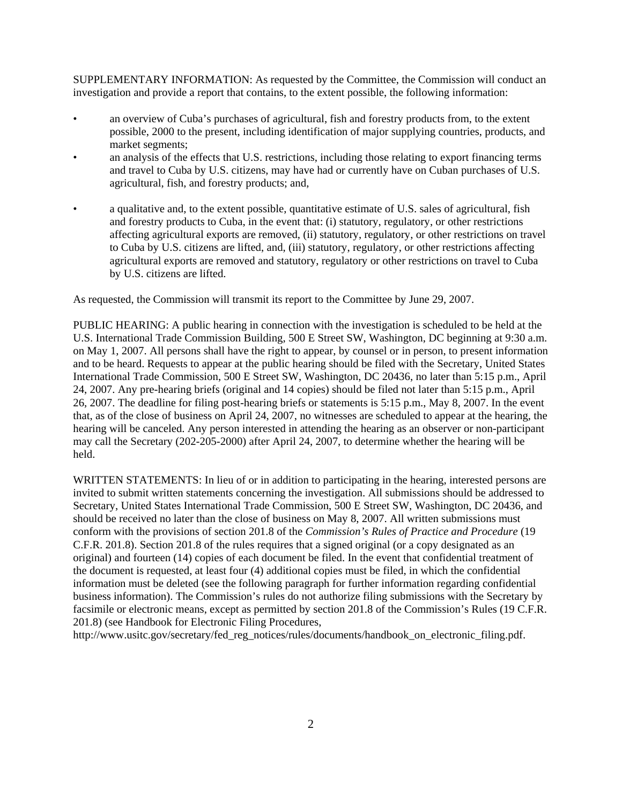SUPPLEMENTARY INFORMATION: As requested by the Committee, the Commission will conduct an investigation and provide a report that contains, to the extent possible, the following information:

- an overview of Cuba's purchases of agricultural, fish and forestry products from, to the extent possible, 2000 to the present, including identification of major supplying countries, products, and market segments;
- an analysis of the effects that U.S. restrictions, including those relating to export financing terms and travel to Cuba by U.S. citizens, may have had or currently have on Cuban purchases of U.S. agricultural, fish, and forestry products; and,
- a qualitative and, to the extent possible, quantitative estimate of U.S. sales of agricultural, fish and forestry products to Cuba, in the event that: (i) statutory, regulatory, or other restrictions affecting agricultural exports are removed, (ii) statutory, regulatory, or other restrictions on travel to Cuba by U.S. citizens are lifted, and, (iii) statutory, regulatory, or other restrictions affecting agricultural exports are removed and statutory, regulatory or other restrictions on travel to Cuba by U.S. citizens are lifted.

As requested, the Commission will transmit its report to the Committee by June 29, 2007.

PUBLIC HEARING: A public hearing in connection with the investigation is scheduled to be held at the U.S. International Trade Commission Building, 500 E Street SW, Washington, DC beginning at 9:30 a.m. on May 1, 2007. All persons shall have the right to appear, by counsel or in person, to present information and to be heard. Requests to appear at the public hearing should be filed with the Secretary, United States International Trade Commission, 500 E Street SW, Washington, DC 20436, no later than 5:15 p.m., April 24, 2007. Any pre-hearing briefs (original and 14 copies) should be filed not later than 5:15 p.m., April 26, 2007. The deadline for filing post-hearing briefs or statements is 5:15 p.m., May 8, 2007. In the event that, as of the close of business on April 24, 2007, no witnesses are scheduled to appear at the hearing, the hearing will be canceled. Any person interested in attending the hearing as an observer or non-participant may call the Secretary (202-205-2000) after April 24, 2007, to determine whether the hearing will be held.

WRITTEN STATEMENTS: In lieu of or in addition to participating in the hearing, interested persons are invited to submit written statements concerning the investigation. All submissions should be addressed to Secretary, United States International Trade Commission, 500 E Street SW, Washington, DC 20436, and should be received no later than the close of business on May 8, 2007. All written submissions must conform with the provisions of section 201.8 of the *Commission's Rules of Practice and Procedure* (19 C.F.R. 201.8). Section 201.8 of the rules requires that a signed original (or a copy designated as an original) and fourteen (14) copies of each document be filed. In the event that confidential treatment of the document is requested, at least four (4) additional copies must be filed, in which the confidential information must be deleted (see the following paragraph for further information regarding confidential business information). The Commission's rules do not authorize filing submissions with the Secretary by facsimile or electronic means, except as permitted by section 201.8 of the Commission's Rules (19 C.F.R. 201.8) (see Handbook for Electronic Filing Procedures,

http://www.usitc.gov/secretary/fed\_reg\_notices/rules/documents/handbook\_on\_electronic\_filing.pdf.